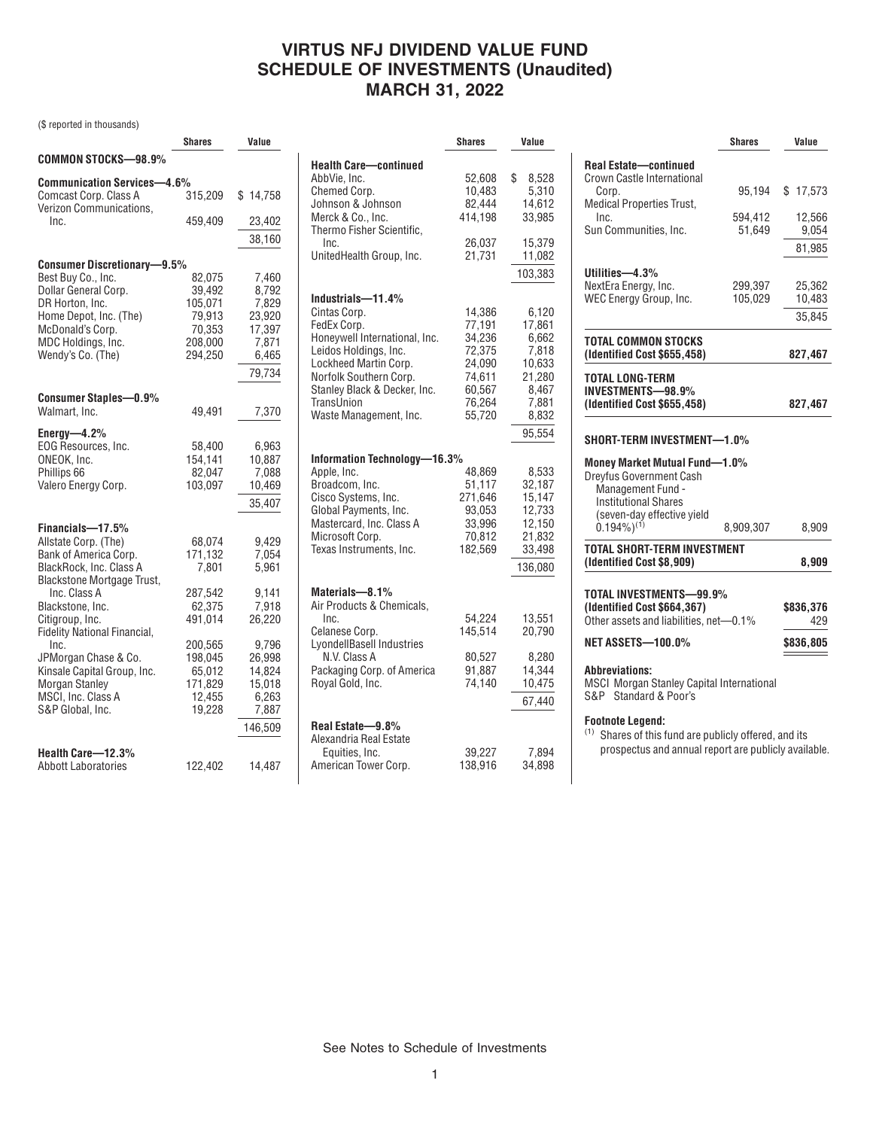# **VIRTUS NFJ DIVIDEND VALUE FUND SCHEDULE OF INVESTMENTS (Unaudited) MARCH 31, 2022**

(\$ reported in thousands)

|                                                  | <b>Shares</b> | Value    |
|--------------------------------------------------|---------------|----------|
| COMMON STOCKS-98.9%                              |               |          |
| Communication Services-4.6%                      |               |          |
| Comcast Corp. Class A<br>Verizon Communications. | 315,209       | \$14,758 |
| Inc.                                             | 459,409       | 23,402   |
|                                                  |               | 38,160   |
| <b>Consumer Discretionary-9.5%</b>               |               |          |
| Best Buy Co., Inc.                               | 82,075        | 7,460    |
| Dollar General Corp.                             | 39,492        | 8,792    |
| DR Horton, Inc.                                  | 105,071       | 7,829    |
| Home Depot, Inc. (The)                           | 79,913        | 23,920   |
| McDonald's Corp.                                 | 70,353        | 17,397   |
| MDC Holdings, Inc.                               | 208,000       | 7,871    |
| Wendy's Co. (The)                                | 294,250       | 6,465    |
|                                                  |               |          |
|                                                  |               | 79,734   |
| <b>Consumer Staples-0.9%</b>                     |               |          |
| Walmart, Inc.                                    | 49,491        | 7,370    |
| Energy- $-4.2%$                                  |               |          |
| EOG Resources, Inc.                              | 58,400        | 6,963    |
| ONEOK, Inc.                                      | 154.141       | 10,887   |
| Phillips 66                                      | 82,047        | 7,088    |
| Valero Energy Corp.                              | 103.097       | 10,469   |
|                                                  |               | 35,407   |
| Financials-17.5%                                 |               |          |
| Allstate Corp. (The)                             | 68,074        | 9,429    |
| Bank of America Corp.                            | 171,132       | 7,054    |
| BlackRock, Inc. Class A                          | 7.801         | 5,961    |
| <b>Blackstone Mortgage Trust,</b>                |               |          |
| Inc. Class A                                     | 287,542       | 9,141    |
| Blackstone, Inc.                                 | 62,375        | 7,918    |
| Citigroup, Inc.                                  | 491,014       | 26,220   |
| Fidelity National Financial,                     |               |          |
| Inc.                                             | 200,565       | 9,796    |
| JPMorgan Chase & Co.                             | 198,045       | 26,998   |
| Kinsale Capital Group, Inc.                      | 65,012        | 14,824   |
| Morgan Stanley                                   | 171,829       | 15,018   |
| MSCI, Inc. Class A                               | 12,455        | 6,263    |
| S&P Global, Inc.                                 | 19,228        | 7,887    |
|                                                  |               |          |
|                                                  |               | 146,509  |
| Health Care-12.3%                                |               |          |
| <b>Abbott Laboratories</b>                       | 122,402       | 14,487   |
|                                                  |               |          |

|                               | <b>Shares</b> | Value           |
|-------------------------------|---------------|-----------------|
| <b>Health Care-continued</b>  |               |                 |
| AbbVie, Inc.                  | 52,608        | \$<br>8,528     |
| Chemed Corp.                  | 10,483        | 5,310           |
| Johnson & Johnson             | 82,444        | 14,612          |
| Merck & Co., Inc.             | 414,198       | 33,985          |
| Thermo Fisher Scientific,     |               |                 |
| Inc.                          | 26,037        | 15,379          |
| UnitedHealth Group, Inc.      | 21,731        | 11,082          |
|                               |               | 103,383         |
|                               |               |                 |
| Industrials-11.4%             |               |                 |
| Cintas Corp.                  | 14,386        | 6,120           |
| FedEx Corp.                   | 77,191        | 17,861          |
| Honeywell International, Inc. | 34,236        | 6,662           |
| Leidos Holdings, Inc.         | 72,375        | 7,818           |
| Lockheed Martin Corp.         | 24,090        | 10,633          |
| Norfolk Southern Corp.        | 74,611        | 21,280          |
| Stanley Black & Decker, Inc.  | 60,567        | 8,467           |
| TransUnion                    | 76,264        | 7,881           |
| Waste Management, Inc.        | 55,720        | 8,832           |
|                               |               | 95,554          |
| Information Technology—16.3%  |               |                 |
| Apple, Inc.                   | 48,869        | 8,533           |
| Broadcom, Inc.                | 51,117        | 32,187          |
| Cisco Systems, Inc.           | 271,646       | 15,147          |
| Global Payments, Inc.         | 93,053        | 12,733          |
| Mastercard, Inc. Class A      | 33,996        | 12,150          |
| Microsoft Corp.               | 70,812        | 21,832          |
| Texas Instruments, Inc.       | 182,569       | 33,498          |
|                               |               | 136,080         |
|                               |               |                 |
| Materials-8.1%                |               |                 |
| Air Products & Chemicals,     |               |                 |
| Inc.                          | 54,224        | 13,551          |
| Celanese Corp.                | 145.514       | 20,790          |
| LyondellBasell Industries     |               |                 |
| N.V. Class A                  | 80,527        | 8,280           |
| Packaging Corp. of America    | 91,887        | 14,344          |
| Royal Gold, Inc.              | 74,140        | 10,475          |
|                               |               | 67,440          |
| Real Estate-9.8%              |               |                 |
| Alexandria Real Estate        |               |                 |
| Equities, Inc.                | 39,227        |                 |
| American Tower Corp.          | 138,916       | 7,894<br>34,898 |
|                               |               |                 |

|                                                                                                                  | <b>Shares</b>      | Value            |
|------------------------------------------------------------------------------------------------------------------|--------------------|------------------|
| <b>Real Estate-continued</b><br>Crown Castle International                                                       |                    |                  |
| Corp.<br><b>Medical Properties Trust,</b>                                                                        | 95,194             | \$17,573         |
| Inc.<br>Sun Communities, Inc.                                                                                    | 594,412<br>51,649  | 12,566<br>9,054  |
|                                                                                                                  |                    | 81,985           |
| Utilities-4.3%                                                                                                   |                    |                  |
| NextEra Energy, Inc.<br>WEC Energy Group, Inc.                                                                   | 299,397<br>105,029 | 25,362<br>10,483 |
|                                                                                                                  |                    | 35.845           |
| TOTAL COMMON STOCKS<br>(Identified Cost \$655,458)                                                               |                    |                  |
|                                                                                                                  |                    | 827,467          |
| <b>TOTAL LONG-TERM</b><br><b>INVESTMENTS-98.9%</b>                                                               |                    |                  |
| (Identified Cost \$655,458)                                                                                      |                    | 827,467          |
| <b>Dreyfus Government Cash</b><br>Management Fund -<br><b>Institutional Shares</b><br>(seven-day effective yield |                    |                  |
| $(0.194\%)^{(1)}$                                                                                                | 8,909,307          | 8,909            |
| <b>TOTAL SHORT-TERM INVESTMENT</b><br>(Identified Cost \$8,909)                                                  |                    | 8,909            |
| TOTAL INVESTMENTS-99.9%                                                                                          |                    |                  |
| (Identified Cost \$664,367)<br>Other assets and liabilities, net-0.1%                                            |                    | \$836,376<br>429 |
| <b>NET ASSETS-100.0%</b>                                                                                         |                    | \$836,805        |
| <b>Abbreviations:</b><br><b>MSCI Morgan Stanley Capital International</b><br>S&P Standard & Poor's               |                    |                  |
| <b>Footnote Legend:</b><br>(1)<br>Shares of this fund are publicly offered, and its                              |                    |                  |

prospectus and annual report are publicly available.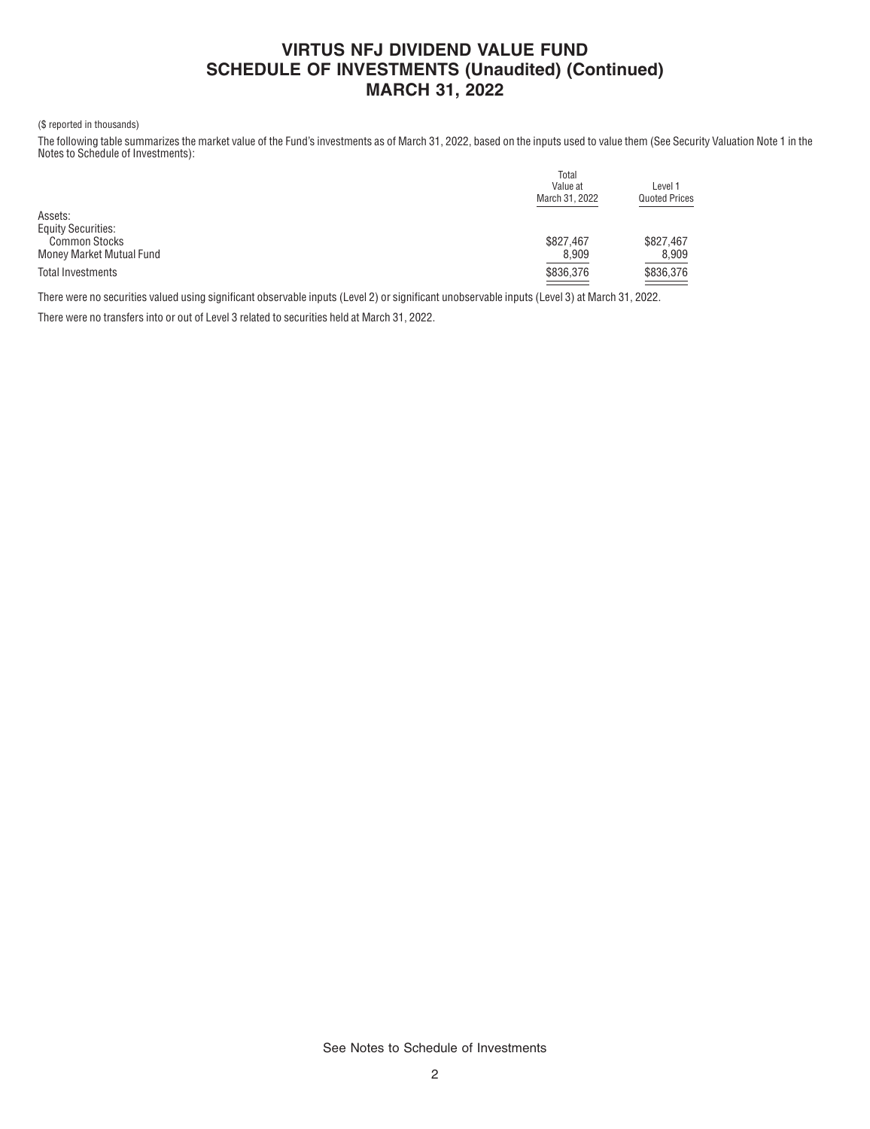# **VIRTUS NFJ DIVIDEND VALUE FUND SCHEDULE OF INVESTMENTS (Unaudited) (Continued) MARCH 31, 2022**

### (\$ reported in thousands)

The following table summarizes the market value of the Fund's investments as of March 31, 2022, based on the inputs used to value them (See Security Valuation Note 1 in the Notes to Schedule of Investments):

|                           | Total          |                      |  |  |
|---------------------------|----------------|----------------------|--|--|
|                           | Value at       | Level 1              |  |  |
|                           | March 31, 2022 | <b>Quoted Prices</b> |  |  |
| Assets:                   |                |                      |  |  |
| <b>Equity Securities:</b> |                |                      |  |  |
| <b>Common Stocks</b>      | \$827,467      | \$827.467            |  |  |
| Money Market Mutual Fund  | 8,909          | 8,909                |  |  |
| Total Investments         | \$836,376      | \$836,376            |  |  |
|                           |                |                      |  |  |

There were no securities valued using significant observable inputs (Level 2) or significant unobservable inputs (Level 3) at March 31, 2022.

There were no transfers into or out of Level 3 related to securities held at March 31, 2022.

See Notes to Schedule of Investments